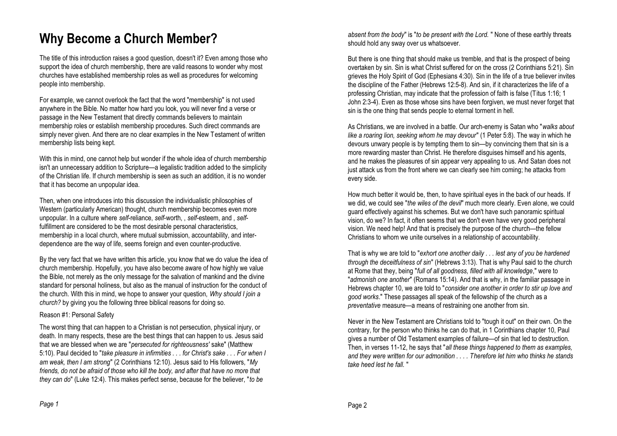# **Why Become a Church Member?**

The title of this introduction raises a good question, doesn't it? Even among those who support the idea of church membership, there are valid reasons to wonder why most churches have established membership roles as well as procedures for welcoming people into membership.

For example, we cannot overlook the fact that the word "membership" is not used anywhere in the Bible. No matter how hard you look, you will never find a verse or passage in the New Testament that directly commands believers to maintain membership roles or establish membership procedures. Such direct commands are simply never given. And there are no clear examples in the New Testament of written membership lists being kept.

With this in mind, one cannot help but wonder if the whole idea of church membership isn't an unnecessary addition to Scripture—a legalistic tradition added to the simplicity of the Christian life. If church membership is seen as such an addition, it is no wonder that it has become an unpopular idea.

Then, when one introduces into this discussion the individualistic philosophies of Western (particularly American) thought, church membership becomes even more unpopular. In a culture where *self*-reliance, *self*-worth, , *self*-esteem, and , *self*fulfillment are considered to be the most desirable personal characteristics, membership in a local church, where mutual submission, accountability, and interdependence are the way of life, seems foreign and even counter-productive.

By the very fact that we have written this article, you know that we do value the idea of church membership. Hopefully, you have also become aware of how highly we value the Bible, not merely as the only message for the salvation of mankind and the divine standard for personal holiness, but also as the manual of instruction for the conduct of the church. With this in mind, we hope to answer your question, *Why should I join a church?* by giving you the following three biblical reasons for doing so.

#### Reason #1: Personal Safety

The worst thing that can happen to a Christian is not persecution, physical injury, or death. In many respects, these are the best things that can happen to us. Jesus said that we are blessed when we are "*persecuted for righteousness'* sake" (Matthew 5:10). Paul decided to "*take pleasure in infirmities . . . for Christ's sake . . . For when I am weak, then I am strong*" (2 Corinthians 12:10). Jesus said to His followers, "*My friends, do not be afraid of those who kill the body, and after that have no more that they can do*" (Luke 12:4). This makes perfect sense, because for the believer, "*to be*

*absent from the body*" is "*to be present with the Lord.* " None of these earthly threats should hold any sway over us whatsoever.

But there is one thing that should make us tremble, and that is the prospect of being overtaken by sin. Sin is what Christ suffered for on the cross (2 Corinthians 5:21). Sin grieves the Holy Spirit of God (Ephesians 4:30). Sin in the life of a true believer invites the discipline of the Father (Hebrews 12:5-8). And sin, if it characterizes the life of a professing Christian, may indicate that the profession of faith is false (Titus 1:16; 1 John 2:3-4). Even as those whose sins have been forgiven, we must never forget that sin is the one thing that sends people to eternal torment in hell.

As Christians, we are involved in a battle. Our arch-enemy is Satan who "*walks about like a roaring lion, seeking whom he may devour*" (1 Peter 5:8). The way in which he devours unwary people is by tempting them to sin—by convincing them that sin is a more rewarding master than Christ. He therefore disguises himself and his agents, and he makes the pleasures of sin appear very appealing to us. And Satan does not just attack us from the front where we can clearly see him coming; he attacks from every side.

How much better it would be, then, to have spiritual eyes in the back of our heads. If we did, we could see "*the wiles of the devil*" much more clearly. Even alone, we could guard effectively against his schemes. But we don't have such panoramic spiritual vision, do we? In fact, it often seems that we don't even have very good peripheral vision. We need help! And that is precisely the purpose of the church—the fellow Christians to whom we unite ourselves in a relationship of accountability.

That is why we are told to "*exhort one another daily . . . lest any of you be hardened through the deceitfulness of sin*" (Hebrews 3:13). That is why Paul said to the church at Rome that they, being "*full of all goodness, filled with all knowledge*," were to "*admonish one another*" (Romans 15:14). And that is why, in the familiar passage in Hebrews chapter 10, we are told to "*consider one another in order to stir up love and good works*." These passages all speak of the fellowship of the church as a *preventative* measure—a means of restraining one another from sin.

Never in the New Testament are Christians told to "tough it out" on their own. On the contrary, for the person who thinks he can do that, in 1 Corinthians chapter 10, Paul gives a number of Old Testament examples of failure—of sin that led to destruction. Then, in verses 11-12, he says that "*all these things happened to them as examples, and they were written for our admonition . . . . Therefore let him who thinks he stands take heed lest he fall.* "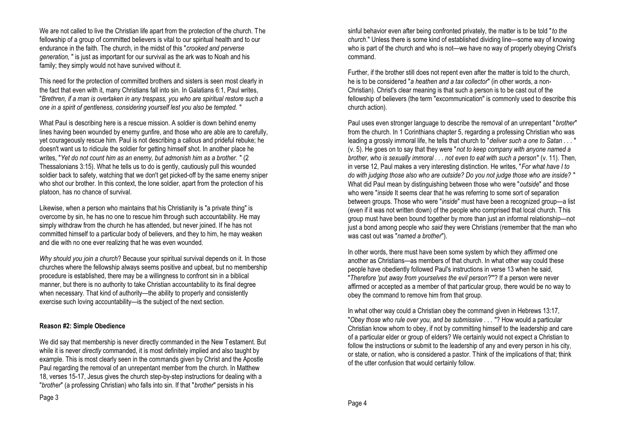We are not called to live the Christian life apart from the protection of the church. The fellowship of a group of committed believers is vital to our spiritual health and to our endurance in the faith. The church, in the midst of this "*crooked and perverse generation,* " is just as important for our survival as the ark was to Noah and his family; they simply would not have survived without it.

This need for the protection of committed brothers and sisters is seen most clearly in the fact that even with it, many Christians fall into sin. In Galatians 6:1, Paul writes, "*Brethren, if a man is overtaken in any trespass, you who are spiritual restore such a one in a spirit of gentleness, considering yourself lest you also be tempted.* "

What Paul is describing here is a rescue mission. A soldier is down behind enemy lines having been wounded by enemy gunfire, and those who are able are to carefully, yet courageously rescue him. Paul is not describing a callous and prideful rebuke; he doesn't want us to ridicule the soldier for getting himself shot. In another place he writes, "*Yet do not count him as an enemy, but admonish him as a brother.* " (2 Thessalonians 3:15). What he tells us to do is gently, cautiously pull this wounded soldier back to safety, watching that we don't get picked-off by the same enemy sniper who shot our brother. In this context, the lone soldier, apart from the protection of his platoon, has no chance of survival.

Likewise, when a person who maintains that his Christianity is "a private thing" is overcome by sin, he has no one to rescue him through such accountability. He may simply withdraw from the church he has attended, but never joined. If he has not committed himself to a particular body of believers, and they to him, he may weaken and die with no one ever realizing that he was even wounded.

*Why should you join a church*? Because your spiritual survival depends on it. In those churches where the fellowship always seems positive and upbeat, but no membership procedure is established, there may be a willingness to confront sin in a biblical manner, but there is no authority to take Christian accountability to its final degree when necessary. That kind of authority—the ability to properly and consistently exercise such loving accountability—is the subject of the next section.

## **Reason #2: Simple Obedience**

We did say that membership is never directly commanded in the New Testament. But while it is never *directly* commanded, it is most definitely implied and also taught by example. This is most clearly seen in the commands given by Christ and the Apostle Paul regarding the removal of an unrepentant member from the church. In Matthew 18, verses 15-17, Jesus gives the church step-by-step instructions for dealing with a "*brother*" (a professing Christian) who falls into sin. If that "*brother*" persists in his

sinful behavior even after being confronted privately, the matter is to be told "*to the church*." Unless there is some kind of established dividing line—some way of knowing who is part of the church and who is not—we have no way of properly obeying Christ's command.

Further, if the brother still does not repent even after the matter is told to the church, he is to be considered "*a heathen and a tax collector*" (in other words, a non-Christian). Christ's clear meaning is that such a person is to be cast out of the fellowship of believers (the term "excommunication" is commonly used to describe this church action).

Paul uses even stronger language to describe the removal of an unrepentant "*brother*" from the church. In 1 Corinthians chapter 5, regarding a professing Christian who was leading a grossly immoral life, he tells that church to "*deliver such a one to Satan . . .* " (v. 5). He goes on to say that they were "*not to keep company with anyone named a brother, who is sexually immoral . . . not even to eat with such a person*" (v. 11). Then, in verse 12, Paul makes a very interesting distinction. He writes, "*For what have I to do with judging those also who are outside? Do you not judge those who are inside?* " What did Paul mean by distinguishing between those who were "*outside*" and those who were "*inside* It seems clear that he was referring to some sort of separation between groups. Those who were "*inside*" must have been a recognized group—a list (even if it was not written down) of the people who comprised that local church. This group must have been bound together by more than just an informal relationship—not just a bond among people who *said* they were Christians (remember that the man who was cast out was "*named a brother*").

In other words, there must have been some system by which they *affirmed* one another as Christians—as members of that church. In what other way could these people have obediently followed Paul's instructions in verse 13 when he said, "*Therefore 'put away from yourselves the evil person*?'"? If a person were never affirmed or accepted as a member of that particular group, there would be no way to obey the command to remove him from that group.

In what other way could a Christian obey the command given in Hebrews 13:17, "*Obey those who rule over you, and be submissive . . .* "? How would a particular Christian know whom to obey, if not by committing himself to the leadership and care of a particular elder or group of elders? We certainly would not expect a Christian to follow the instructions or submit to the leadership of any and every person in his city, or state, or nation, who is considered a pastor. Think of the implications of that; think of the utter confusion that would certainly follow.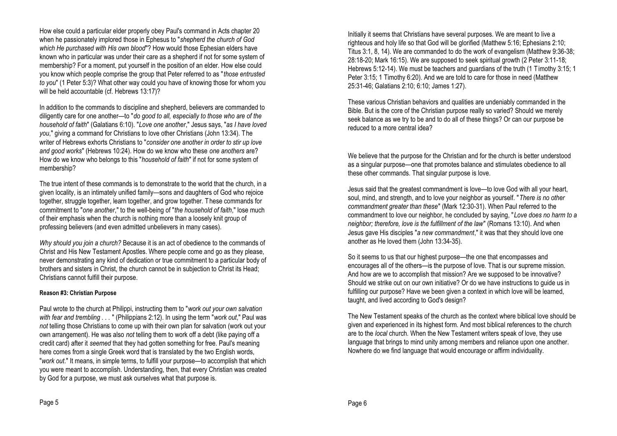How else could a particular elder properly obey Paul's command in Acts chapter 20 when he passionately implored those in Ephesus to "*shepherd the church of God which He purchased with His own blood*"? How would those Ephesian elders have known who in particular was under their care as a shepherd if not for some system of membership? For a moment, put yourself in the position of an elder. How else could you know which people comprise the group that Peter referred to as "*those entrusted to you*" (1 Peter 5:3)? What other way could you have of knowing those for whom you will be held accountable (cf. Hebrews 13:17)?

In addition to the commands to discipline and shepherd, believers are commanded to diligently care for one another—to "*do good to all, especially to those who are of the household of faith*" (Galatians 6:10). "*Love one another*," Jesus says, "*as I have loved you*," giving a command for Christians to love other Christians (John 13:34). The writer of Hebrews exhorts Christians to "*consider one another in order to stir up love and good works*" (Hebrews 10:24). How do we know who these *one anothers* are? How do we know who belongs to this "*household of faith*" if not for some system of membership?

The true intent of these commands is to demonstrate to the world that the church, in a given locality, is an intimately unified family—sons and daughters of God who rejoice together, struggle together, learn together, and grow together. These commands for commitment to "*one another*," to the well-being of "*the household of faith*," lose much of their emphasis when the church is nothing more than a loosely knit group of professing believers (and even admitted unbelievers in many cases).

*Why should you join a church?* Because it is an act of obedience to the commands of Christ and His New Testament Apostles. Where people come and go as they please, never demonstrating any kind of dedication or true commitment to a particular body of brothers and sisters in Christ, the church cannot be in subjection to Christ its Head; Christians cannot fulfill their purpose.

#### **Reason #3: Christian Purpose**

Paul wrote to the church at Philippi, instructing them to "*work out your own salvation with fear and trembling . . .* " (Philippians 2:12). In using the term "*work out*," Paul was *not* telling those Christians to come up with their own plan for salvation (work out your own arrangement). He was also *not* telling them to work off a debt (like paying off a credit card) after it *seemed* that they had gotten something for free. Paul's meaning here comes from a single Greek word that is translated by the two English words, "*work out*." It means, in simple terms, to fulfill your purpose—to accomplish that which you were meant to accomplish. Understanding, then, that every Christian was created by God for a purpose, we must ask ourselves what that purpose is.

Initially it seems that Christians have several purposes. We are meant to live a righteous and holy life so that God will be glorified (Matthew 5:16; Ephesians 2:10; Titus 3:1, 8, 14). We are commanded to do the work of evangelism (Matthew 9:36-38; 28:18-20; Mark 16:15). We are supposed to seek spiritual growth (2 Peter 3:11-18; Hebrews 5:12-14). We must be teachers and guardians of the truth (1 Timothy 3:15; 1 Peter 3:15; 1 Timothy 6:20). And we are told to care for those in need (Matthew 25:31-46; Galatians 2:10; 6:10; James 1:27).

These various Christian behaviors and qualities are undeniably commanded in the Bible. But is the core of the Christian purpose really so varied? Should we merely seek balance as we try to be and to do all of these things? Or can our purpose be reduced to a more central idea?

We believe that the purpose for the Christian and for the church is better understood as a singular purpose—one that promotes balance and stimulates obedience to all these other commands. That singular purpose is love.

Jesus said that the greatest commandment is love—to love God with all your heart, soul, mind, and strength, and to love your neighbor as yourself. "*There is no other commandment greater than these*" (Mark 12:30-31). When Paul referred to the commandment to love our neighbor, he concluded by saying, "*Love does no harm to a neighbor; therefore, love is the fulfillment of the law*" (Romans 13:10). And when Jesus gave His disciples "*a new commandment*," it was that they should love one another as He loved them (John 13:34-35).

So it seems to us that our highest purpose—the one that encompasses and encourages all of the others—is the purpose of love. That is our supreme mission. And how are we to accomplish that mission? Are we supposed to be innovative? Should we strike out on our own initiative? Or do we have instructions to guide us in fulfilling our purpose? Have we been given a context in which love will be learned, taught, and lived according to God's design?

The New Testament speaks of the church as the context where biblical love should be given and experienced in its highest form. And most biblical references to the church are to the *local* church. When the New Testament writers speak of love, they use language that brings to mind unity among members and reliance upon one another. Nowhere do we find language that would encourage or affirm individuality.